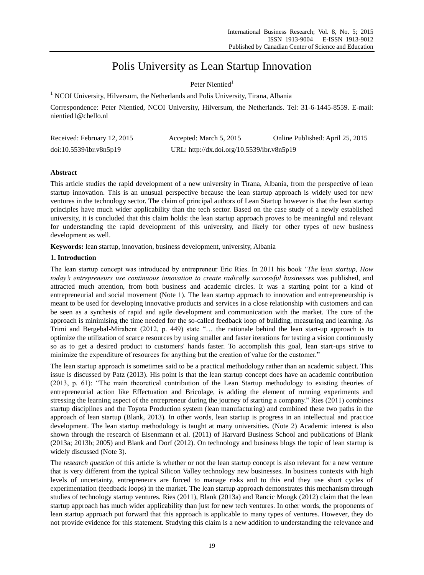# Polis University as Lean Startup Innovation

# Peter Nientied<sup>1</sup>

<sup>1</sup> NCOI University, Hilversum, the Netherlands and Polis University, Tirana, Albania

Correspondence: Peter Nientied, NCOI University, Hilversum, the Netherlands. Tel: 31-6-1445-8559. E-mail: nientied1@chello.nl

| Received: February 12, 2015 | Accepted: March 5, 2015                    | Online Published: April 25, 2015 |
|-----------------------------|--------------------------------------------|----------------------------------|
| doi:10.5539/ibr.v8n5p19     | URL: http://dx.doi.org/10.5539/ibr.v8n5p19 |                                  |

# **Abstract**

This article studies the rapid development of a new university in Tirana, Albania, from the perspective of lean startup innovation. This is an unusual perspective because the lean startup approach is widely used for new ventures in the technology sector. The claim of principal authors of Lean Startup however is that the lean startup principles have much wider applicability than the tech sector. Based on the case study of a newly established university, it is concluded that this claim holds: the lean startup approach proves to be meaningful and relevant for understanding the rapid development of this university, and likely for other types of new business development as well.

**Keywords:** lean startup, innovation, business development, university, Albania

# **1. Introduction**

The lean startup concept was introduced by entrepreneur Eric Ries. In 2011 his book ‗*The lean startup, How today's entrepreneurs use continuous innovation to create radically successful businesses* was published, and attracted much attention, from both business and academic circles. It was a starting point for a kind of entrepreneurial and social movement (Note 1). The lean startup approach to innovation and entrepreneurship is meant to be used for developing innovative products and services in a close relationship with customers and can be seen as a synthesis of rapid and agile development and communication with the market. The core of the approach is minimising the time needed for the so-called feedback loop of building, measuring and learning. As Trimi and Bergebal-Mirabent (2012, p. 449) state "... the rationale behind the lean start-up approach is to optimize the utilization of scarce resources by using smaller and faster iterations for testing a vision continuously so as to get a desired product to customers' hands faster. To accomplish this goal, lean start-ups strive to minimize the expenditure of resources for anything but the creation of value for the customer."

The lean startup approach is sometimes said to be a practical methodology rather than an academic subject. This issue is discussed by Patz (2013). His point is that the lean startup concept does have an academic contribution (2013, p. 61): "The main theoretical contribution of the Lean Startup methodology to existing theories of entrepreneurial action like Effectuation and Bricolage, is adding the element of running experiments and stressing the learning aspect of the entrepreneur during the journey of starting a company." Ries (2011) combines startup disciplines and the Toyota Production system (lean manufacturing) and combined these two paths in the approach of lean startup (Blank, 2013). In other words, lean startup is progress in an intellectual and practice development. The lean startup methodology is taught at many universities. (Note 2) Academic interest is also shown through the research of Eisenmann et al. (2011) of Harvard Business School and publications of Blank (2013a; 2013b; 2005) and Blank and Dorf (2012). On technology and business blogs the topic of lean startup is widely discussed (Note 3).

The *research question* of this article is whether or not the lean startup concept is also relevant for a new venture that is very different from the typical Silicon Valley technology new businesses. In business contexts with high levels of uncertainty, entrepreneurs are forced to manage risks and to this end they use short cycles of experimentation (feedback loops) in the market. The lean startup approach demonstrates this mechanism through studies of technology startup ventures. Ries (2011), Blank (2013a) and Rancic Moogk (2012) claim that the lean startup approach has much wider applicability than just for new tech ventures. In other words, the proponents of lean startup approach put forward that this approach is applicable to many types of ventures. However, they do not provide evidence for this statement. Studying this claim is a new addition to understanding the relevance and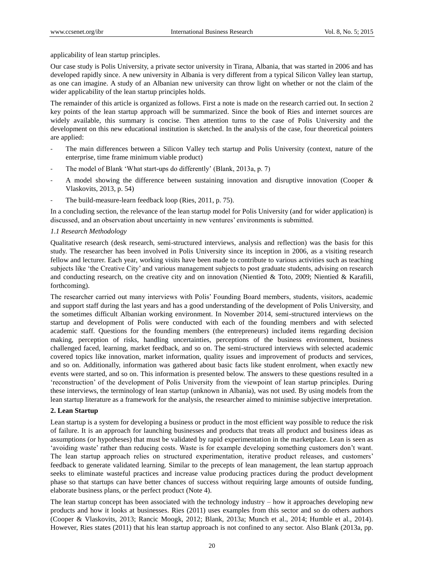applicability of lean startup principles.

Our case study is Polis University, a private sector university in Tirana, Albania, that was started in 2006 and has developed rapidly since. A new university in Albania is very different from a typical Silicon Valley lean startup, as one can imagine. A study of an Albanian new university can throw light on whether or not the claim of the wider applicability of the lean startup principles holds.

The remainder of this article is organized as follows. First a note is made on the research carried out. In section 2 key points of the lean startup approach will be summarized. Since the book of Ries and internet sources are widely available, this summary is concise. Then attention turns to the case of Polis University and the development on this new educational institution is sketched. In the analysis of the case, four theoretical pointers are applied:

- The main differences between a Silicon Valley tech startup and Polis University (context, nature of the enterprise, time frame minimum viable product)
- The model of Blank 'What start-ups do differently' (Blank, 2013a, p. 7)
- A model showing the difference between sustaining innovation and disruptive innovation (Cooper & Vlaskovits, 2013, p. 54)
- The build-measure-learn feedback loop (Ries, 2011, p. 75).

In a concluding section, the relevance of the lean startup model for Polis University (and for wider application) is discussed, and an observation about uncertainty in new ventures' environments is submitted.

# *1.1 Research Methodology*

Qualitative research (desk research, semi-structured interviews, analysis and reflection) was the basis for this study. The researcher has been involved in Polis University since its inception in 2006, as a visiting research fellow and lecturer. Each year, working visits have been made to contribute to various activities such as teaching subjects like 'the Creative City' and various management subjects to post graduate students, advising on research and conducting research, on the creative city and on innovation (Nientied & Toto, 2009; Nientied & Karafili, forthcoming).

The researcher carried out many interviews with Polis' Founding Board members, students, visitors, academic and support staff during the last years and has a good understanding of the development of Polis University, and the sometimes difficult Albanian working environment. In November 2014, semi-structured interviews on the startup and development of Polis were conducted with each of the founding members and with selected academic staff. Questions for the founding members (the entrepreneurs) included items regarding decision making, perception of risks, handling uncertainties, perceptions of the business environment, business challenged faced, learning, market feedback, and so on. The semi-structured interviews with selected academic covered topics like innovation, market information, quality issues and improvement of products and services, and so on. Additionally, information was gathered about basic facts like student enrolment, when exactly new events were started, and so on. This information is presented below. The answers to these questions resulted in a ‗reconstruction' of the development of Polis University from the viewpoint of lean startup principles. During these interviews, the terminology of lean startup (unknown in Albania), was not used. By using models from the lean startup literature as a framework for the analysis, the researcher aimed to minimise subjective interpretation.

## **2. Lean Startup**

Lean startup is a system for developing a business or product in the most efficient way possible to reduce the risk of failure. It is an approach for launching businesses and products that treats all product and business ideas as assumptions (or hypotheses) that must be validated by rapid experimentation in the marketplace. Lean is seen as ‗avoiding waste' rather than reducing costs. Waste is for example developing something customers don't want. The lean startup approach relies on structured experimentation, iterative product releases, and customers' feedback to generate validated learning. Similar to the precepts of lean management, the lean startup approach seeks to eliminate wasteful practices and increase value producing practices during the product development phase so that startups can have better chances of success without requiring large amounts of outside funding, elaborate business plans, or the perfect product (Note 4).

The lean startup concept has been associated with the technology industry – how it approaches developing new products and how it looks at businesses. Ries (2011) uses examples from this sector and so do others authors (Cooper & Vlaskovits, 2013; Rancic Moogk, 2012; Blank, 2013a; Munch et al., 2014; Humble et al., 2014). However, Ries states (2011) that his lean startup approach is not confined to any sector. Also Blank (2013a, pp.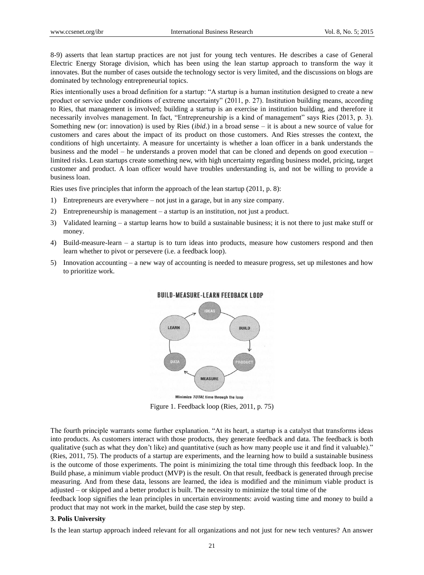8-9) asserts that lean startup practices are not just for young tech ventures. He describes a case of General Electric Energy Storage division, which has been using the lean startup approach to transform the way it innovates. But the number of cases outside the technology sector is very limited, and the discussions on blogs are dominated by technology entrepreneurial topics.

Ries intentionally uses a broad definition for a startup: "A startup is a human institution designed to create a new product or service under conditions of extreme uncertainty" (2011, p. 27). Institution building means, according to Ries, that management is involved; building a startup is an exercise in institution building, and therefore it necessarily involves management. In fact, "Entrepreneurship is a kind of management" says Ries (2013, p. 3). Something new (or: innovation) is used by Ries (*ibid*.) in a broad sense – it is about a new source of value for customers and cares about the impact of its product on those customers. And Ries stresses the context, the conditions of high uncertainty. A measure for uncertainty is whether a loan officer in a bank understands the business and the model – he understands a proven model that can be cloned and depends on good execution – limited risks. Lean startups create something new, with high uncertainty regarding business model, pricing, target customer and product. A loan officer would have troubles understanding is, and not be willing to provide a business loan.

Ries uses five principles that inform the approach of the lean startup (2011, p. 8):

- 1) Entrepreneurs are everywhere not just in a garage, but in any size company.
- 2) Entrepreneurship is management a startup is an institution, not just a product.
- 3) Validated learning a startup learns how to build a sustainable business; it is not there to just make stuff or money.
- 4) Build-measure-learn a startup is to turn ideas into products, measure how customers respond and then learn whether to pivot or persevere (i.e. a feedback loop).
- 5) Innovation accounting a new way of accounting is needed to measure progress, set up milestones and how to prioritize work.



**BUILD-MEASURE-LEARN FEEDBACK LOOP** 

Figure 1. Feedback loop (Ries, 2011, p. 75)

The fourth principle warrants some further explanation. "At its heart, a startup is a catalyst that transforms ideas into products. As customers interact with those products, they generate feedback and data. The feedback is both qualitative (such as what they don't like) and quantitative (such as how many people use it and find it valuable)." (Ries, 2011, 75). The products of a startup are experiments, and the learning how to build a sustainable business is the outcome of those experiments. The point is minimizing the total time through this feedback loop. In the Build phase, a minimum viable product (MVP) is the result. On that result, feedback is generated through precise measuring. And from these data, lessons are learned, the idea is modified and the minimum viable product is adjusted – or skipped and a better product is built. The necessity to minimize the total time of the

feedback loop signifies the lean principles in uncertain environments: avoid wasting time and money to build a product that may not work in the market, build the case step by step.

#### **3. Polis University**

Is the lean startup approach indeed relevant for all organizations and not just for new tech ventures? An answer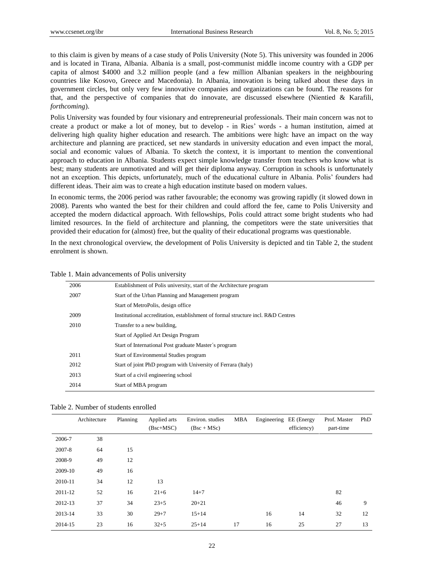to this claim is given by means of a case study of Polis University (Note 5). This university was founded in 2006 and is located in Tirana, Albania. Albania is a small, post-communist middle income country with a GDP per capita of almost \$4000 and 3.2 million people (and a few million Albanian speakers in the neighbouring countries like Kosovo, Greece and Macedonia). In Albania, innovation is being talked about these days in government circles, but only very few innovative companies and organizations can be found. The reasons for that, and the perspective of companies that do innovate, are discussed elsewhere (Nientied & Karafili, *forthcoming*).

Polis University was founded by four visionary and entrepreneurial professionals. Their main concern was not to create a product or make a lot of money, but to develop - in Ries' words - a human institution, aimed at delivering high quality higher education and research. The ambitions were high: have an impact on the way architecture and planning are practiced, set new standards in university education and even impact the moral, social and economic values of Albania. To sketch the context, it is important to mention the conventional approach to education in Albania. Students expect simple knowledge transfer from teachers who know what is best; many students are unmotivated and will get their diploma anyway. Corruption in schools is unfortunately not an exception. This depicts, unfortunately, much of the educational culture in Albania. Polis' founders had different ideas. Their aim was to create a high education institute based on modern values.

In economic terms, the 2006 period was rather favourable; the economy was growing rapidly (it slowed down in 2008). Parents who wanted the best for their children and could afford the fee, came to Polis University and accepted the modern didactical approach. With fellowships, Polis could attract some bright students who had limited resources. In the field of architecture and planning, the competitors were the state universities that provided their education for (almost) free, but the quality of their educational programs was questionable.

In the next chronological overview, the development of Polis University is depicted and tin Table 2, the student enrolment is shown.

| 2006 | Establishment of Polis university, start of the Architecture program             |
|------|----------------------------------------------------------------------------------|
| 2007 | Start of the Urban Planning and Management program                               |
|      | Start of MetroPolis, design office                                               |
| 2009 | Institutional accreditation, establishment of formal structure incl. R&D Centres |
| 2010 | Transfer to a new building.                                                      |
|      | Start of Applied Art Design Program                                              |
|      | Start of International Post graduate Master s program                            |
| 2011 | Start of Environmental Studies program                                           |
| 2012 | Start of joint PhD program with University of Ferrara (Italy)                    |
| 2013 | Start of a civil engineering school                                              |
| 2014 | Start of MBA program                                                             |
|      |                                                                                  |

#### Table 1. Main advancements of Polis university

#### Table 2. Number of students enrolled

|            | Architecture | Planning | Applied arts | Environ, studies | MBA |    | Engineering EE (Energy | Prof. Master | PhD |
|------------|--------------|----------|--------------|------------------|-----|----|------------------------|--------------|-----|
|            |              |          | $(Bsc+MSC)$  | $(Bsc + MSc)$    |     |    | efficiency)            | part-time    |     |
| 2006-7     | 38           |          |              |                  |     |    |                        |              |     |
| $2007 - 8$ | 64           | 15       |              |                  |     |    |                        |              |     |
| 2008-9     | 49           | 12       |              |                  |     |    |                        |              |     |
| 2009-10    | 49           | 16       |              |                  |     |    |                        |              |     |
| 2010-11    | 34           | 12       | 13           |                  |     |    |                        |              |     |
| 2011-12    | 52           | 16       | $21 + 6$     | $14 + 7$         |     |    |                        | 82           |     |
| 2012-13    | 37           | 34       | $23+5$       | $20 + 21$        |     |    |                        | 46           | 9   |
| 2013-14    | 33           | 30       | $29 + 7$     | $15 + 14$        |     | 16 | 14                     | 32           | 12  |
| 2014-15    | 23           | 16       | $32 + 5$     | $25 + 14$        | 17  | 16 | 25                     | 27           | 13  |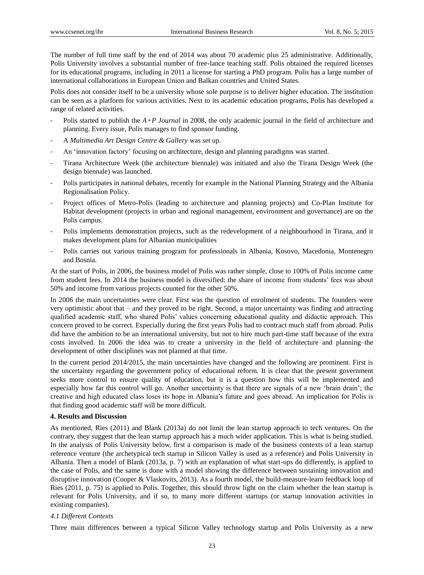The number of full time staff by the end of 2014 was about 70 academic plus 25 administrative. Additionally, Polis University involves a substantial number of free-lance teaching staff. Polis obtained the required licenses for its educational programs, including in 2011 a license for starting a PhD program. Polis has a large number of international collaborations in European Union and Balkan countries and United States.

Polis does not consider itself to be a university whose sole purpose is to deliver higher education. The institution can be seen as a platform for various activities. Next to its academic education programs, Polis has developed a range of related activities.

- Polis started to publish the *A+P Journal* in 2008, the only academic journal in the field of architecture and planning. Every issue, Polis manages to find sponsor funding.
- A *Multimedia Art Design Centre & Gallery* was set up.
- An 'innovation factory' focusing on architecture, design and planning paradigms was started.
- Tirana Architecture Week (the architecture biennale) was initiated and also the Tirana Design Week (the design biennale) was launched.
- Polis participates in national debates, recently for example in the National Planning Strategy and the Albania Regionalisation Policy.
- Project offices of Metro-Polis (leading to architecture and planning projects) and Co-Plan Institute for Habitat development (projects in urban and regional management, environment and governance) are on the Polis campus.
- Polis implements demonstration projects, such as the redevelopment of a neighbourhood in Tirana, and it makes development plans for Albanian municipalities
- Polis carries out various training program for professionals in Albania, Kosovo, Macedonia, Montenegro and Bosnia.

At the start of Polis, in 2006, the business model of Polis was rather simple, close to 100% of Polis income came from student fees. In 2014 the business model is diversified: the share of income from students' fees was about 50% and income from various projects counted for the other 50%.

In 2006 the main uncertainties were clear. First was the question of enrolment of students. The founders were very optimistic about that – and they proved to be right. Second, a major uncertainty was finding and attracting qualified academic staff, who shared Polis' values concerning educational quality and didactic approach. This concern proved to be correct. Especially during the first years Polis had to contract much staff from abroad. Polis did have the ambition to be an international university, but not to hire much part-time staff because of the extra costs involved. In 2006 the idea was to create a university in the field of architecture and planning–the development of other disciplines was not planned at that time.

In the current period 2014/2015, the main uncertainties have changed and the following are prominent. First is the uncertainty regarding the government policy of educational reform. It is clear that the present government seeks more control to ensure quality of education, but it is a question how this will be implemented and especially how far this control will go. Another uncertainty is that there are signals of a new 'brain drain'; the creative and high educated class loses its hope in Albania's future and goes abroad. An implication for Polis is that finding good academic staff will be more difficult.

#### **4. Results and Discussion**

As mentioned, Ries (2011) and Blank (2013a) do not limit the lean startup approach to tech ventures. On the contrary, they suggest that the lean startup approach has a much wider application. This is what is being studied. In the analysis of Polis University below, first a comparison is made of the business contexts of a lean startup reference venture (the archetypical tech startup in Silicon Valley is used as a reference) and Polis University in Albania. Then a model of Blank (2013a, p. 7) with an explanation of what start-ups do differently, is applied to the case of Polis, and the same is done with a model showing the difference between sustaining innovation and disruptive innovation (Cooper & Vlaskovits, 2013). As a fourth model, the build-measure-learn feedback loop of Ries (2011, p. 75) is applied to Polis. Together, this should throw light on the claim whether the lean startup is relevant for Polis University, and if so, to many more different startups (or startup innovation activities in existing companies).

#### *4.1 Different Contexts*

Three main differences between a typical Silicon Valley technology startup and Polis University as a new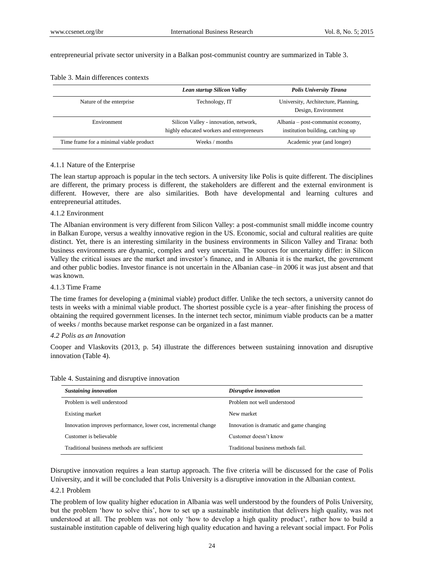entrepreneurial private sector university in a Balkan post-communist country are summarized in Table 3.

|                                         | Lean startup Silicon Valley                                                        | <b>Polis University Tirana</b>                                         |
|-----------------------------------------|------------------------------------------------------------------------------------|------------------------------------------------------------------------|
| Nature of the enterprise                | Technology, IT                                                                     | University, Architecture, Planning,<br>Design, Environment             |
| Environment                             | Silicon Valley - innovation, network,<br>highly educated workers and entrepreneurs | Albania – post-communist economy,<br>institution building, catching up |
| Time frame for a minimal viable product | Weeks / months                                                                     | Academic year (and longer)                                             |

#### Table 3. Main differences contexts

#### 4.1.1 Nature of the Enterprise

The lean startup approach is popular in the tech sectors. A university like Polis is quite different. The disciplines are different, the primary process is different, the stakeholders are different and the external environment is different. However, there are also similarities. Both have developmental and learning cultures and entrepreneurial attitudes.

#### 4.1.2 Environment

The Albanian environment is very different from Silicon Valley: a post-communist small middle income country in Balkan Europe, versus a wealthy innovative region in the US. Economic, social and cultural realities are quite distinct. Yet, there is an interesting similarity in the business environments in Silicon Valley and Tirana: both business environments are dynamic, complex and very uncertain. The sources for uncertainty differ: in Silicon Valley the critical issues are the market and investor's finance, and in Albania it is the market, the government and other public bodies. Investor finance is not uncertain in the Albanian case–in 2006 it was just absent and that was known.

## 4.1.3 Time Frame

The time frames for developing a (minimal viable) product differ. Unlike the tech sectors, a university cannot do tests in weeks with a minimal viable product. The shortest possible cycle is a year–after finishing the process of obtaining the required government licenses. In the internet tech sector, minimum viable products can be a matter of weeks / months because market response can be organized in a fast manner.

#### *4.2 Polis as an Innovation*

Cooper and Vlaskovits (2013, p. 54) illustrate the differences between sustaining innovation and disruptive innovation (Table 4).

| <b>Sustaining innovation</b>                                    | Disruptive innovation                    |
|-----------------------------------------------------------------|------------------------------------------|
| Problem is well understood                                      | Problem not well understood              |
| Existing market                                                 | New market                               |
| Innovation improves performance, lower cost, incremental change | Innovation is dramatic and game changing |
| Customer is believable                                          | Customer doesn't know                    |
| Traditional business methods are sufficient                     | Traditional business methods fail.       |

#### Table 4. Sustaining and disruptive innovation

Disruptive innovation requires a lean startup approach. The five criteria will be discussed for the case of Polis University, and it will be concluded that Polis University is a disruptive innovation in the Albanian context.

## 4.2.1 Problem

The problem of low quality higher education in Albania was well understood by the founders of Polis University, but the problem ‗how to solve this', how to set up a sustainable institution that delivers high quality, was not understood at all. The problem was not only ‗how to develop a high quality product', rather how to build a sustainable institution capable of delivering high quality education and having a relevant social impact. For Polis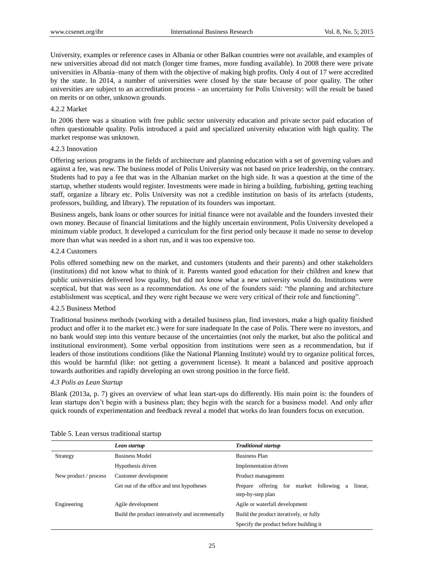University, examples or reference cases in Albania or other Balkan countries were not available, and examples of new universities abroad did not match (longer time frames, more funding available). In 2008 there were private universities in Albania–many of them with the objective of making high profits. Only 4 out of 17 were accredited by the state. In 2014, a number of universities were closed by the state because of poor quality. The other universities are subject to an accreditation process - an uncertainty for Polis University: will the result be based on merits or on other, unknown grounds.

## 4.2.2 Market

In 2006 there was a situation with free public sector university education and private sector paid education of often questionable quality. Polis introduced a paid and specialized university education with high quality. The market response was unknown.

## 4.2.3 Innovation

Offering serious programs in the fields of architecture and planning education with a set of governing values and against a fee, was new. The business model of Polis University was not based on price leadership, on the contrary. Students had to pay a fee that was in the Albanian market on the high side. It was a question at the time of the startup, whether students would register. Investments were made in hiring a building, furbishing, getting teaching staff, organize a library etc. Polis University was not a credible institution on basis of its artefacts (students, professors, building, and library). The reputation of its founders was important.

Business angels, bank loans or other sources for initial finance were not available and the founders invested their own money. Because of financial limitations and the highly uncertain environment, Polis University developed a minimum viable product. It developed a curriculum for the first period only because it made no sense to develop more than what was needed in a short run, and it was too expensive too.

# 4.2.4 Customers

Polis offered something new on the market, and customers (students and their parents) and other stakeholders (institutions) did not know what to think of it. Parents wanted good education for their children and knew that public universities delivered low quality, but did not know what a new university would do. Institutions were sceptical, but that was seen as a recommendation. As one of the founders said: "the planning and architecture establishment was sceptical, and they were right because we were very critical of their role and functioning".

## 4.2.5 Business Method

Traditional business methods (working with a detailed business plan, find investors, make a high quality finished product and offer it to the market etc.) were for sure inadequate In the case of Polis. There were no investors, and no bank would step into this venture because of the uncertainties (not only the market, but also the political and institutional environment). Some verbal opposition from institutions were seen as a recommendation, but if leaders of those institutions conditions (like the National Planning Institute) would try to organize political forces, this would be harmful (like: not getting a government license). It meant a balanced and positive approach towards authorities and rapidly developing an own strong position in the force field.

## *4.3 Polis as Lean Startup*

Blank (2013a, p. 7) gives an overview of what lean start-ups do differently. His main point is: the founders of lean startups don't begin with a business plan; they begin with the search for a business model. And only after quick rounds of experimentation and feedback reveal a model that works do lean founders focus on execution.

|                       | Lean startup                                     | <b>Traditional startup</b>                                                 |
|-----------------------|--------------------------------------------------|----------------------------------------------------------------------------|
| Strategy              | <b>Business Model</b>                            | <b>Business Plan</b>                                                       |
|                       | Hypothesis driven                                | Implementation driven                                                      |
| New product / process | Customer development                             | Product management                                                         |
|                       | Get out of the office and test hypotheses        | for market following a<br>Prepare offering<br>linear.<br>step-by-step plan |
| Engineering           | Agile development                                | Agile or waterfall development                                             |
|                       | Build the product interatively and incrementally | Build the product iteratively, or fully                                    |
|                       |                                                  | Specify the product before building it                                     |

## Table 5. Lean versus traditional startup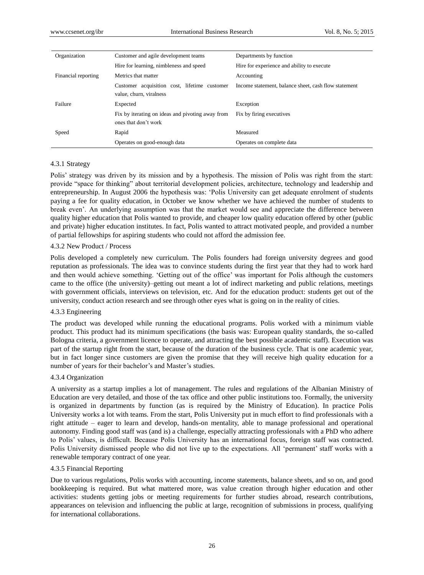| Organization        | Customer and agile development teams                                     | Departments by function                              |
|---------------------|--------------------------------------------------------------------------|------------------------------------------------------|
|                     | Hire for learning, nimbleness and speed                                  | Hire for experience and ability to execute           |
| Financial reporting | Metrics that matter                                                      | Accounting                                           |
|                     | Customer acquisition cost, lifetime customer<br>value, churn, viralness  | Income statement, balance sheet, cash flow statement |
| Failure             | Expected                                                                 | Exception                                            |
|                     | Fix by iterating on ideas and pivoting away from<br>ones that don't work | Fix by firing executives                             |
| Speed               | Rapid                                                                    | Measured                                             |
|                     | Operates on good-enough data                                             | Operates on complete data                            |

## 4.3.1 Strategy

Polis' strategy was driven by its mission and by a hypothesis. The mission of Polis was right from the start: provide "space for thinking" about territorial development policies, architecture, technology and leadership and entrepreneurship. In August 2006 the hypothesis was: ‗Polis University can get adequate enrolment of students paying a fee for quality education, in October we know whether we have achieved the number of students to break even'. An underlying assumption was that the market would see and appreciate the difference between quality higher education that Polis wanted to provide, and cheaper low quality education offered by other (public and private) higher education institutes. In fact, Polis wanted to attract motivated people, and provided a number of partial fellowships for aspiring students who could not afford the admission fee.

#### 4.3.2 New Product / Process

Polis developed a completely new curriculum. The Polis founders had foreign university degrees and good reputation as professionals. The idea was to convince students during the first year that they had to work hard and then would achieve something. ‗Getting out of the office' was important for Polis although the customers came to the office (the university)–getting out meant a lot of indirect marketing and public relations, meetings with government officials, interviews on television, etc. And for the education product: students get out of the university, conduct action research and see through other eyes what is going on in the reality of cities.

## 4.3.3 Engineering

The product was developed while running the educational programs. Polis worked with a minimum viable product. This product had its minimum specifications (the basis was: European quality standards, the so-called Bologna criteria, a government licence to operate, and attracting the best possible academic staff). Execution was part of the startup right from the start, because of the duration of the business cycle. That is one academic year, but in fact longer since customers are given the promise that they will receive high quality education for a number of years for their bachelor's and Master's studies.

## 4.3.4 Organization

A university as a startup implies a lot of management. The rules and regulations of the Albanian Ministry of Education are very detailed, and those of the tax office and other public institutions too. Formally, the university is organized in departments by function (as is required by the Ministry of Education). In practice Polis University works a lot with teams. From the start, Polis University put in much effort to find professionals with a right attitude – eager to learn and develop, hands-on mentality, able to manage professional and operational autonomy. Finding good staff was (and is) a challenge, especially attracting professionals with a PhD who adhere to Polis' values, is difficult. Because Polis University has an international focus, foreign staff was contracted. Polis University dismissed people who did not live up to the expectations. All 'permanent' staff works with a renewable temporary contract of one year.

## 4.3.5 Financial Reporting

Due to various regulations, Polis works with accounting, income statements, balance sheets, and so on, and good bookkeeping is required. But what mattered more, was value creation through higher education and other activities: students getting jobs or meeting requirements for further studies abroad, research contributions, appearances on television and influencing the public at large, recognition of submissions in process, qualifying for international collaborations.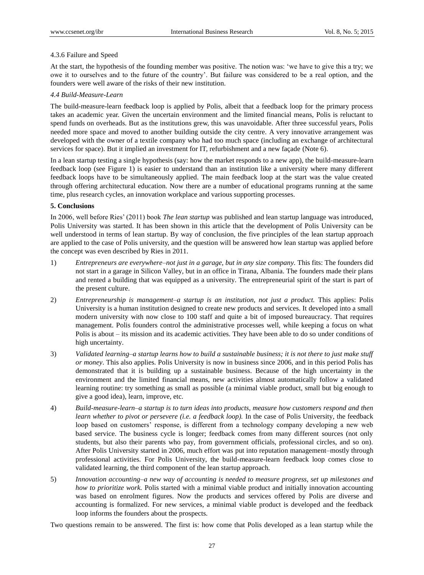## 4.3.6 Failure and Speed

At the start, the hypothesis of the founding member was positive. The notion was: ‗we have to give this a try; we owe it to ourselves and to the future of the country'. But failure was considered to be a real option, and the founders were well aware of the risks of their new institution.

## *4.4 Build-Measure-Learn*

The build-measure-learn feedback loop is applied by Polis, albeit that a feedback loop for the primary process takes an academic year. Given the uncertain environment and the limited financial means, Polis is reluctant to spend funds on overheads. But as the institutions grew, this was unavoidable. After three successful years, Polis needed more space and moved to another building outside the city centre. A very innovative arrangement was developed with the owner of a textile company who had too much space (including an exchange of architectural services for space). But it implied an investment for IT, refurbishment and a new façade (Note 6).

In a lean startup testing a single hypothesis (say: how the market responds to a new app), the build-measure-learn feedback loop (see Figure 1) is easier to understand than an institution like a university where many different feedback loops have to be simultaneously applied. The main feedback loop at the start was the value created through offering architectural education. Now there are a number of educational programs running at the same time, plus research cycles, an innovation workplace and various supporting processes.

# **5. Conclusions**

In 2006, well before Ries' (2011) book *The lean startup* was published and lean startup language was introduced, Polis University was started. It has been shown in this article that the development of Polis University can be well understood in terms of lean startup. By way of conclusion, the five principles of the lean startup approach are applied to the case of Polis university, and the question will be answered how lean startup was applied before the concept was even described by Ries in 2011.

- 1) *Entrepreneurs are everywhere–not just in a garage, but in any size company.* This fits: The founders did not start in a garage in Silicon Valley, but in an office in Tirana, Albania. The founders made their plans and rented a building that was equipped as a university. The entrepreneurial spirit of the start is part of the present culture.
- 2) *Entrepreneurship is management–a startup is an institution, not just a product.* This applies: Polis University is a human institution designed to create new products and services. It developed into a small modern university with now close to 100 staff and quite a bit of imposed bureaucracy. That requires management. Polis founders control the administrative processes well, while keeping a focus on what Polis is about – its mission and its academic activities. They have been able to do so under conditions of high uncertainty.
- 3) *Validated learning–a startup learns how to build a sustainable business; it is not there to just make stuff or money*. This also applies. Polis University is now in business since 2006, and in this period Polis has demonstrated that it is building up a sustainable business. Because of the high uncertainty in the environment and the limited financial means, new activities almost automatically follow a validated learning routine: try something as small as possible (a minimal viable product, small but big enough to give a good idea), learn, improve, etc.
- 4) *Build-measure-learn–a startup is to turn ideas into products, measure how customers respond and then learn whether to pivot or persevere (i.e. a feedback loop)*. In the case of Polis University, the feedback loop based on customers' response, is different from a technology company developing a new web based service. The business cycle is longer; feedback comes from many different sources (not only students, but also their parents who pay, from government officials, professional circles, and so on). After Polis University started in 2006, much effort was put into reputation management–mostly through professional activities. For Polis University, the build-measure-learn feedback loop comes close to validated learning, the third component of the lean startup approach.
- 5) *Innovation accounting–a new way of accounting is needed to measure progress, set up milestones and how to prioritize work*. Polis started with a minimal viable product and initially innovation accounting was based on enrolment figures. Now the products and services offered by Polis are diverse and accounting is formalized. For new services, a minimal viable product is developed and the feedback loop informs the founders about the prospects.

Two questions remain to be answered. The first is: how come that Polis developed as a lean startup while the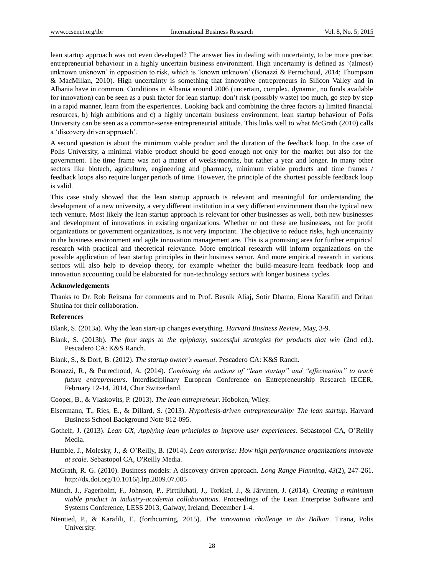lean startup approach was not even developed? The answer lies in dealing with uncertainty, to be more precise: entrepreneurial behaviour in a highly uncertain business environment. High uncertainty is defined as '(almost) unknown unknown' in opposition to risk, which is 'known unknown' (Bonazzi & Perruchoud, 2014; Thompson & MacMillan, 2010). High uncertainty is something that innovative entrepreneurs in Silicon Valley and in Albania have in common. Conditions in Albania around 2006 (uncertain, complex, dynamic, no funds available for innovation) can be seen as a push factor for lean startup: don't risk (possibly waste) too much, go step by step in a rapid manner, learn from the experiences. Looking back and combining the three factors a) limited financial resources, b) high ambitions and c) a highly uncertain business environment, lean startup behaviour of Polis University can be seen as a common-sense entrepreneurial attitude. This links well to what McGrath (2010) calls a 'discovery driven approach'.

A second question is about the minimum viable product and the duration of the feedback loop. In the case of Polis University, a minimal viable product should be good enough not only for the market but also for the government. The time frame was not a matter of weeks/months, but rather a year and longer. In many other sectors like biotech, agriculture, engineering and pharmacy, minimum viable products and time frames / feedback loops also require longer periods of time. However, the principle of the shortest possible feedback loop is valid.

This case study showed that the lean startup approach is relevant and meaningful for understanding the development of a new university, a very different institution in a very different environment than the typical new tech venture. Most likely the lean startup approach is relevant for other businesses as well, both new businesses and development of innovations in existing organizations. Whether or not these are businesses, not for profit organizations or government organizations, is not very important. The objective to reduce risks, high uncertainty in the business environment and agile innovation management are. This is a promising area for further empirical research with practical and theoretical relevance. More empirical research will inform organizations on the possible application of lean startup principles in their business sector. And more empirical research in various sectors will also help to develop theory, for example whether the build-measure-learn feedback loop and innovation accounting could be elaborated for non-technology sectors with longer business cycles.

#### **Acknowledgements**

Thanks to Dr. Rob Reitsma for comments and to Prof. Besnik Aliaj, Sotir Dhamo, Elona Karafili and Dritan Shutina for their collaboration.

## **References**

Blank, S. (2013a). Why the lean start-up changes everything. *Harvard Business Review*, May, 3-9.

- Blank, S. (2013b). *The four steps to the epiphany, successful strategies for products that win* (2nd ed.). Pescadero CA: K&S Ranch.
- Blank, S., & Dorf, B. (2012). *The startup owner's manual*. Pescadero CA: K&S Ranch.
- Bonazzi, R., & Purrechoud, A. (2014). *Combining the notions of "lean startup" and "effectuation" to teach future entrepreneurs*. Interdisciplinary European Conference on Entrepreneurship Research IECER, February 12-14, 2014, Chur Switzerland.
- Cooper, B., & Vlaskovits, P. (2013). *The lean entrepreneur*. Hoboken, Wiley.
- Eisenmann, T., Ries, E., & Dillard, S. (2013). *Hypothesis-driven entrepreneurship: The lean startup*. Harvard Business School Background Note 812-095.
- Gothelf, J. (2013). *Lean UX, Applying lean principles to improve user experiences.* Sebastopol CA, O'Reilly Media.
- Humble, J., Molesky, J., & O'Reilly, B. (2014). *Lean enterprise: How high performance organizations innovate at scale*. Sebastopol CA, O'Reilly Media.
- McGrath, R. G. (2010). Business models: A discovery driven approach*. Long Range Planning, 43*(2), 247-261. http://dx.doi.org/10.1016/j.lrp.2009.07.005
- Münch, J., Fagerholm, F., Johnson, P., Pirttiluhati, J., Torkkel, J., & Järvinen, J. (2014). *Creating a minimum viable product in industry-academia collaborations*. Proceedings of the Lean Enterprise Software and Systems Conference, LESS 2013, Galway, Ireland, December 1-4.
- Nientied, P., & Karafili, E. (forthcoming, 2015). *The innovation challenge in the Balkan*. Tirana, Polis University.